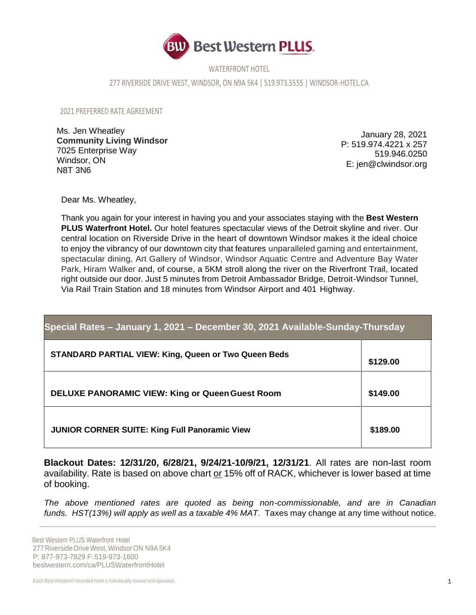

WATERFRONT HOTEL

277 RIVERSIDE DRIVE WEST, WINDSOR, ON N9A 5K4 | 519.973.5555 | WINDSOR-HOTEL.CA

2021 PREFERRED RATE AGREEMENT

Ms. Jen Wheatley **Community Living Windsor** 7025 Enterprise Way Windsor, ON N8T 3N6

January 28, 2021 P: 519.974.4221 x 257 519.946.0250 E: jen@clwindsor.org

Dear Ms. Wheatley,

Thank you again for your interest in having you and your associates staying with the **Best Western PLUS Waterfront Hotel.** Our hotel features spectacular views of the Detroit skyline and river. Our central location on Riverside Drive in the heart of downtown Windsor makes it the ideal choice to enjoy the vibrancy of our downtown city that features unparalleled gaming and entertainment, spectacular dining, Art Gallery of Windsor, Windsor Aquatic Centre and Adventure Bay Water Park, Hiram Walker and, of course, a 5KM stroll along the river on the Riverfront Trail, located right outside our door. Just 5 minutes from Detroit Ambassador Bridge, Detroit-Windsor Tunnel, Via Rail Train Station and 18 minutes from Windsor Airport and 401 Highway.

| Special Rates - January 1, 2021 - December 30, 2021 Available-Sunday-Thursday |          |
|-------------------------------------------------------------------------------|----------|
| <b>STANDARD PARTIAL VIEW: King, Queen or Two Queen Beds</b>                   | \$129.00 |
| <b>DELUXE PANORAMIC VIEW: King or Queen Guest Room</b>                        | \$149.00 |
| <b>JUNIOR CORNER SUITE: King Full Panoramic View</b>                          | \$189.00 |

**Blackout Dates: 12/31/20, 6/28/21, 9/24/21-10/9/21, 12/31/21**. All rates are non-last room availability. Rate is based on above chart or 15% off of RACK, whichever is lower based at time of booking.

*The above mentioned rates are quoted as being non-commissionable, and are in Canadian funds. HST(13%) will apply as well as a taxable 4% MAT*. Taxes may change at any time without notice.

Best Western PLUS Waterfront Hotel 277 Riverside Drive West, Windsor ON N9A5K4 P: 877-973-7829 F: 519-973-1600 bestwestern.com/ca/PLUSWaterfrontHotel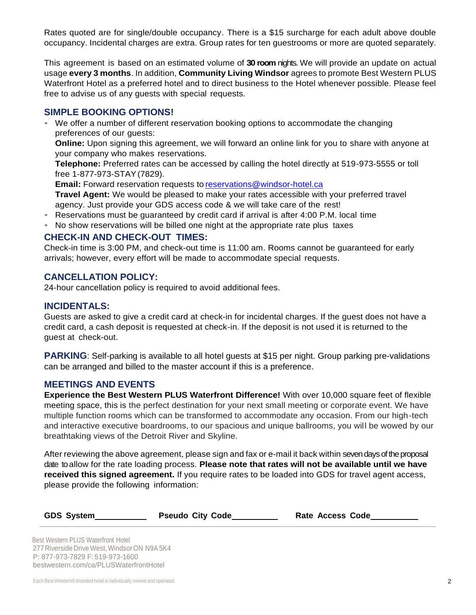Rates quoted are for single/double occupancy. There is a \$15 surcharge for each adult above double occupancy. Incidental charges are extra. Group rates for ten guestrooms or more are quoted separately.

This agreement is based on an estimated volume of **30 room** nights. We will provide an update on actual usage **every 3 months**. In addition, **Community Living Windsor** agrees to promote Best Western PLUS Waterfront Hotel as a preferred hotel and to direct business to the Hotel whenever possible. Please feel free to advise us of any guests with special requests.

# **SIMPLE BOOKING OPTIONS!**

▪ We offer a number of different reservation booking options to accommodate the changing preferences of our guests:

**Online:** Upon signing this agreement, we will forward an online link for you to share with anyone at your company who makes reservations.

**Telephone:** Preferred rates can be accessed by calling the hotel directly at 519-973-5555 or toll free 1-877-973-STAY(7829).

**Email:** Forward reservation requests to [reservations@windsor-hotel.ca](mailto:reservations@windsor-hotel.ca)

**Travel Agent:** We would be pleased to make your rates accessible with your preferred travel agency. Just provide your GDS access code & we will take care of the rest!

- Reservations must be quaranteed by credit card if arrival is after 4:00 P.M. local time
- No show reservations will be billed one night at the appropriate rate plus taxes

## **CHECK-IN AND CHECK-OUT TIMES:**

Check-in time is 3:00 PM, and check-out time is 11:00 am. Rooms cannot be guaranteed for early arrivals; however, every effort will be made to accommodate special requests.

## **CANCELLATION POLICY:**

24-hour cancellation policy is required to avoid additional fees.

#### **INCIDENTALS:**

Guests are asked to give a credit card at check-in for incidental charges. If the guest does not have a credit card, a cash deposit is requested at check-in. If the deposit is not used it is returned to the guest at check-out.

**PARKING**: Self-parking is available to all hotel quests at \$15 per night. Group parking pre-validations can be arranged and billed to the master account if this is a preference.

#### **MEETINGS AND EVENTS**

**Experience the Best Western PLUS Waterfront Difference!** With over 10,000 square feet of flexible meeting space, this is the perfect destination for your next small meeting or corporate event. We have multiple function rooms which can be transformed to accommodate any occasion. From our high-tech and interactive executive boardrooms, to our spacious and unique ballrooms, you will be wowed by our breathtaking views of the Detroit River and Skyline.

After reviewing the above agreement, please sign and fax or e-mail it back within seven days of the proposal date toallow for the rate loading process. **Please note that rates will not be available until we have received this signed agreement.** If you require rates to be loaded into GDS for travel agent access, please provide the following information:

| <b>GDS System</b> |
|-------------------|
|                   |

**Pseudo City Code Rate Access Code** 

Best Western PLUS Waterfront Hotel 277 Riverside Drive West, Windsor ON N9A5K4 P: 877-973-7829 F: 519-973-1600 bestwestern.com/ca/PLUSWaterfrontHotel